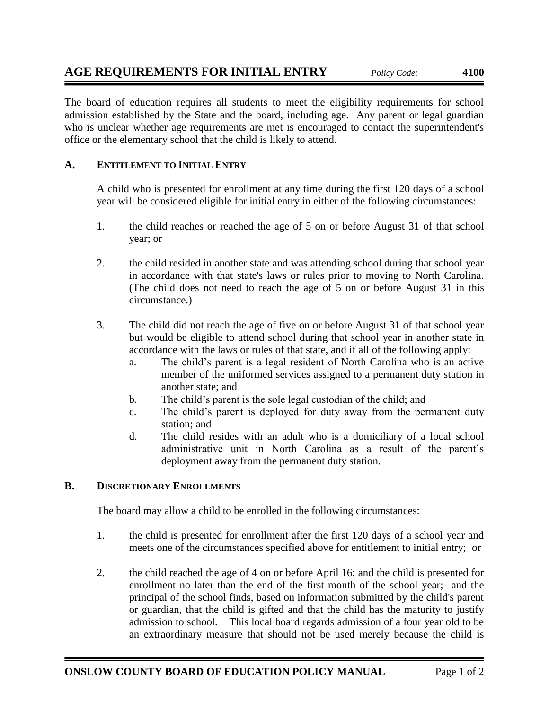The board of education requires all students to meet the eligibility requirements for school admission established by the State and the board, including age. Any parent or legal guardian who is unclear whether age requirements are met is encouraged to contact the superintendent's office or the elementary school that the child is likely to attend.

## **A. ENTITLEMENT TO INITIAL ENTRY**

A child who is presented for enrollment at any time during the first 120 days of a school year will be considered eligible for initial entry in either of the following circumstances:

- 1. the child reaches or reached the age of 5 on or before August 31 of that school year; or
- 2. the child resided in another state and was attending school during that school year in accordance with that state's laws or rules prior to moving to North Carolina. (The child does not need to reach the age of 5 on or before August 31 in this circumstance.)
- 3. The child did not reach the age of five on or before August 31 of that school year but would be eligible to attend school during that school year in another state in accordance with the laws or rules of that state, and if all of the following apply:
	- a. The child's parent is a legal resident of North Carolina who is an active member of the uniformed services assigned to a permanent duty station in another state; and
	- b. The child's parent is the sole legal custodian of the child; and
	- c. The child's parent is deployed for duty away from the permanent duty station; and
	- d. The child resides with an adult who is a domiciliary of a local school administrative unit in North Carolina as a result of the parent's deployment away from the permanent duty station.

## **B. DISCRETIONARY ENROLLMENTS**

The board may allow a child to be enrolled in the following circumstances:

- 1. the child is presented for enrollment after the first 120 days of a school year and meets one of the circumstances specified above for entitlement to initial entry; or
- 2. the child reached the age of 4 on or before April 16; and the child is presented for enrollment no later than the end of the first month of the school year; and the principal of the school finds, based on information submitted by the child's parent or guardian, that the child is gifted and that the child has the maturity to justify admission to school. This local board regards admission of a four year old to be an extraordinary measure that should not be used merely because the child is